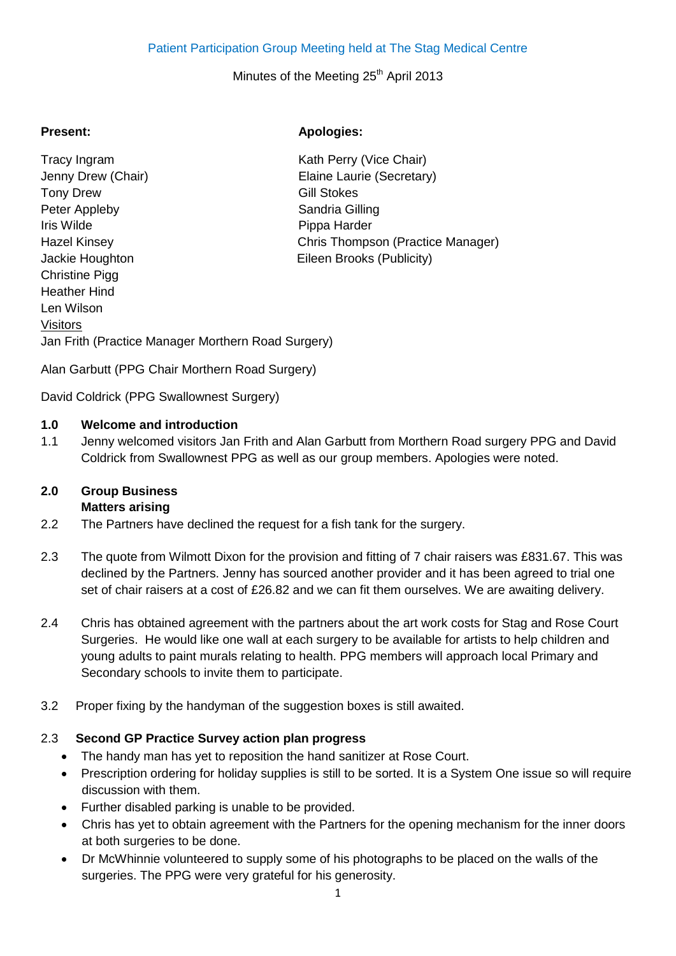# Patient Participation Group Meeting held at The Stag Medical Centre

#### Minutes of the Meeting 25<sup>th</sup> April 2013

Tracy Ingram Tracy Ingram Kath Perry (Vice Chair) Jenny Drew (Chair) **Elaine Laurie (Secretary)** Tony Drew Gill Stokes Peter Appleby Sandria Gilling Iris Wilde **Pippa Harder** Hazel Kinsey Chris Thompson (Practice Manager) Jackie Houghton Eileen Brooks (Publicity) Christine Pigg Heather Hind Len Wilson Visitors Jan Frith (Practice Manager Morthern Road Surgery)

## **Present: Apologies:**

Alan Garbutt (PPG Chair Morthern Road Surgery)

David Coldrick (PPG Swallownest Surgery)

#### **1.0 Welcome and introduction**

1.1 Jenny welcomed visitors Jan Frith and Alan Garbutt from Morthern Road surgery PPG and David Coldrick from Swallownest PPG as well as our group members. Apologies were noted.

# **2.0 Group Business**

# **Matters arising**

- 2.2 The Partners have declined the request for a fish tank for the surgery.
- 2.3 The quote from Wilmott Dixon for the provision and fitting of 7 chair raisers was £831.67. This was declined by the Partners. Jenny has sourced another provider and it has been agreed to trial one set of chair raisers at a cost of £26.82 and we can fit them ourselves. We are awaiting delivery.
- 2.4 Chris has obtained agreement with the partners about the art work costs for Stag and Rose Court Surgeries. He would like one wall at each surgery to be available for artists to help children and young adults to paint murals relating to health. PPG members will approach local Primary and Secondary schools to invite them to participate.
- 3.2 Proper fixing by the handyman of the suggestion boxes is still awaited.

#### 2.3 **Second GP Practice Survey action plan progress**

- The handy man has yet to reposition the hand sanitizer at Rose Court.
- Prescription ordering for holiday supplies is still to be sorted. It is a System One issue so will require discussion with them.
- Further disabled parking is unable to be provided.
- Chris has yet to obtain agreement with the Partners for the opening mechanism for the inner doors at both surgeries to be done.
- Dr McWhinnie volunteered to supply some of his photographs to be placed on the walls of the surgeries. The PPG were very grateful for his generosity.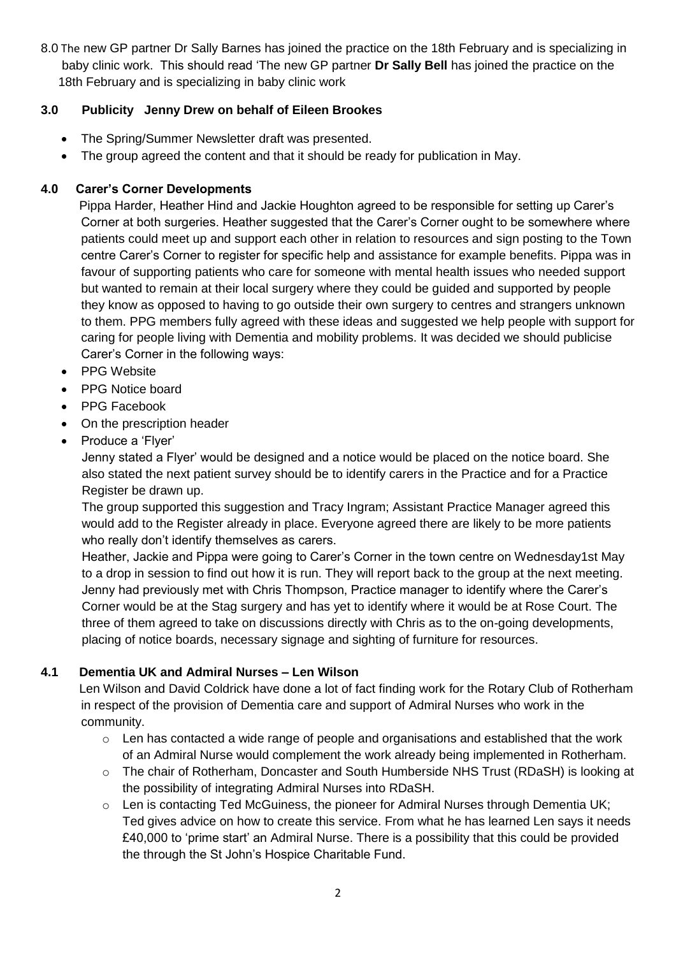8.0 The new GP partner Dr Sally Barnes has joined the practice on the 18th February and is specializing in baby clinic work. This should read 'The new GP partner **Dr Sally Bell** has joined the practice on the 18th February and is specializing in baby clinic work

# **3.0 Publicity Jenny Drew on behalf of Eileen Brookes**

- The Spring/Summer Newsletter draft was presented.
- The group agreed the content and that it should be ready for publication in May.

# **4.0 Carer's Corner Developments**

 Pippa Harder, Heather Hind and Jackie Houghton agreed to be responsible for setting up Carer's Corner at both surgeries. Heather suggested that the Carer's Corner ought to be somewhere where patients could meet up and support each other in relation to resources and sign posting to the Town centre Carer's Corner to register for specific help and assistance for example benefits. Pippa was in favour of supporting patients who care for someone with mental health issues who needed support but wanted to remain at their local surgery where they could be guided and supported by people they know as opposed to having to go outside their own surgery to centres and strangers unknown to them. PPG members fully agreed with these ideas and suggested we help people with support for caring for people living with Dementia and mobility problems. It was decided we should publicise Carer's Corner in the following ways:

- PPG Website
- PPG Notice board
- PPG Facebook
- On the prescription header
- Produce a 'Flyer'

Jenny stated a Flyer' would be designed and a notice would be placed on the notice board. She also stated the next patient survey should be to identify carers in the Practice and for a Practice Register be drawn up.

The group supported this suggestion and Tracy Ingram; Assistant Practice Manager agreed this would add to the Register already in place. Everyone agreed there are likely to be more patients who really don't identify themselves as carers.

Heather, Jackie and Pippa were going to Carer's Corner in the town centre on Wednesday1st May to a drop in session to find out how it is run. They will report back to the group at the next meeting. Jenny had previously met with Chris Thompson, Practice manager to identify where the Carer's Corner would be at the Stag surgery and has yet to identify where it would be at Rose Court. The three of them agreed to take on discussions directly with Chris as to the on-going developments, placing of notice boards, necessary signage and sighting of furniture for resources.

# **4.1 Dementia UK and Admiral Nurses – Len Wilson**

 Len Wilson and David Coldrick have done a lot of fact finding work for the Rotary Club of Rotherham in respect of the provision of Dementia care and support of Admiral Nurses who work in the community.

- o Len has contacted a wide range of people and organisations and established that the work of an Admiral Nurse would complement the work already being implemented in Rotherham.
- o The chair of Rotherham, Doncaster and South Humberside NHS Trust (RDaSH) is looking at the possibility of integrating Admiral Nurses into RDaSH.
- o Len is contacting Ted McGuiness, the pioneer for Admiral Nurses through Dementia UK; Ted gives advice on how to create this service. From what he has learned Len says it needs £40,000 to 'prime start' an Admiral Nurse. There is a possibility that this could be provided the through the St John's Hospice Charitable Fund.